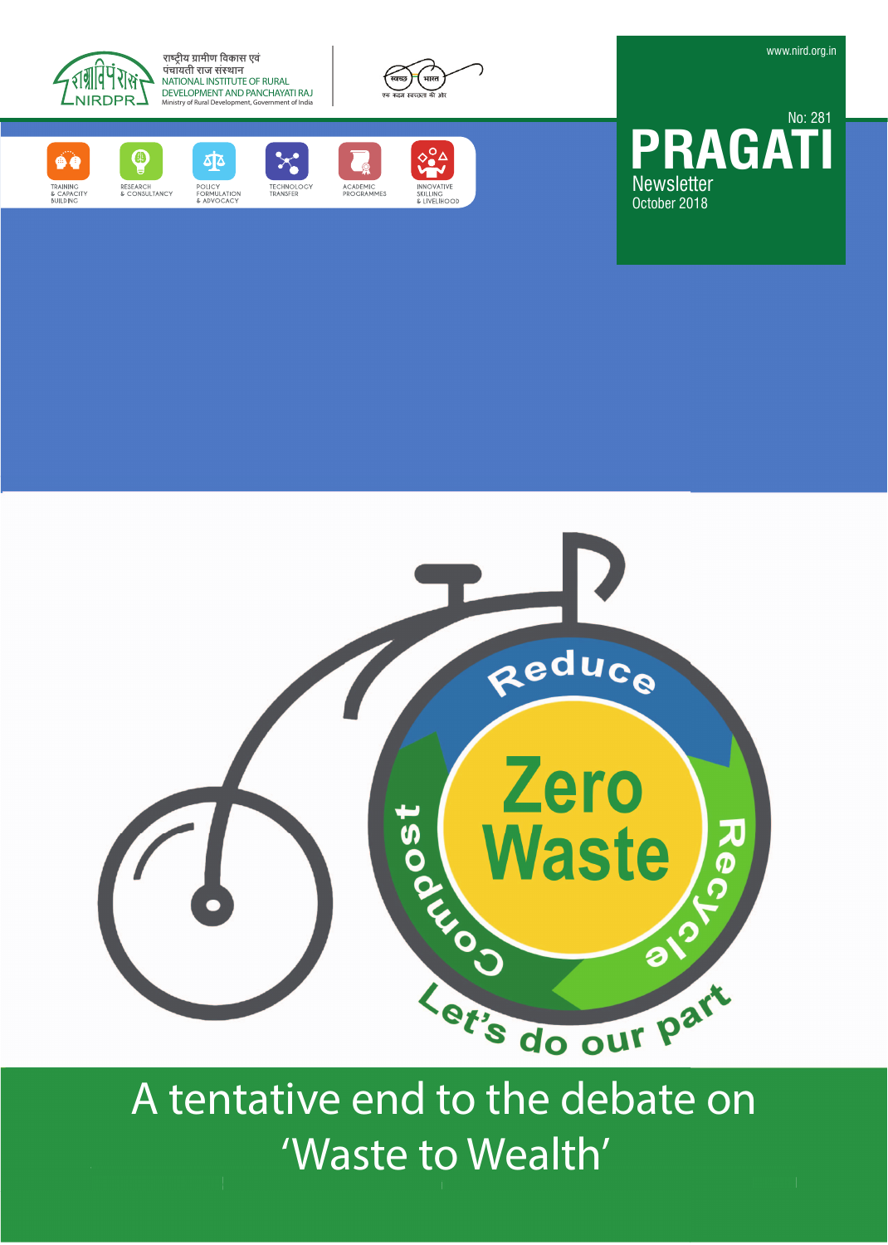

राष्ट्रीय ग्रामीण विकास एवं पंचायती राज संस्थान NATIONAL INSTITUTE OF RURAL DEVELOPMENT AND PANCHAYATI RAJ MILITY OF THE PROPERTY







ক্র -<br>POLICY<br>& ADVOCACY



 $\circ$ ACADEMIC<br>PROGRAMMES



**PRAGA Newsletter** October 2018 No: 281



A tentative end to the debate on 'Waste to Wealth'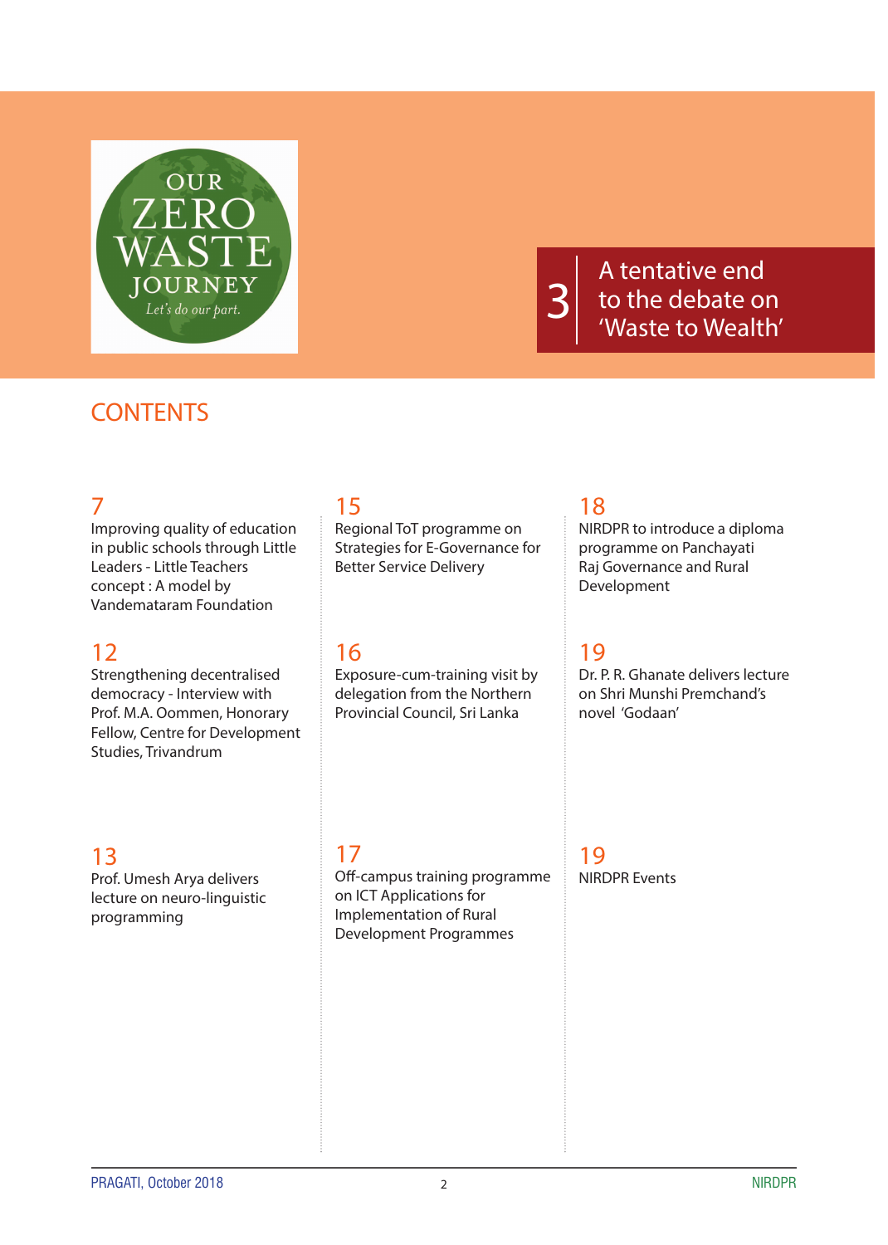

A tentative end to the debate on 'Waste to Wealth'

## **CONTENTS**

### 7

Improving quality of education in public schools through Little Leaders - Little Teachers concept : A model by Vandemataram Foundation

#### 12

Strengthening decentralised democracy - Interview with Prof. M.A. Oommen, Honorary Fellow, Centre for Development Studies, Trivandrum

### 13

Prof. Umesh Arya delivers lecture on neuro-linguistic programming

# 15

Regional ToT programme on Strategies for E-Governance for Better Service Delivery

## 16

Exposure-cum-training visit by delegation from the Northern Provincial Council, Sri Lanka

## 18

NIRDPR to introduce a diploma programme on Panchayati Raj Governance and Rural Development

### 19

Dr. P. R. Ghanate delivers lecture on Shri Munshi Premchand's novel 'Godaan'

#### 17

Off-campus training programme on ICT Applications for Implementation of Rural Development Programmes

19 NIRDPR Events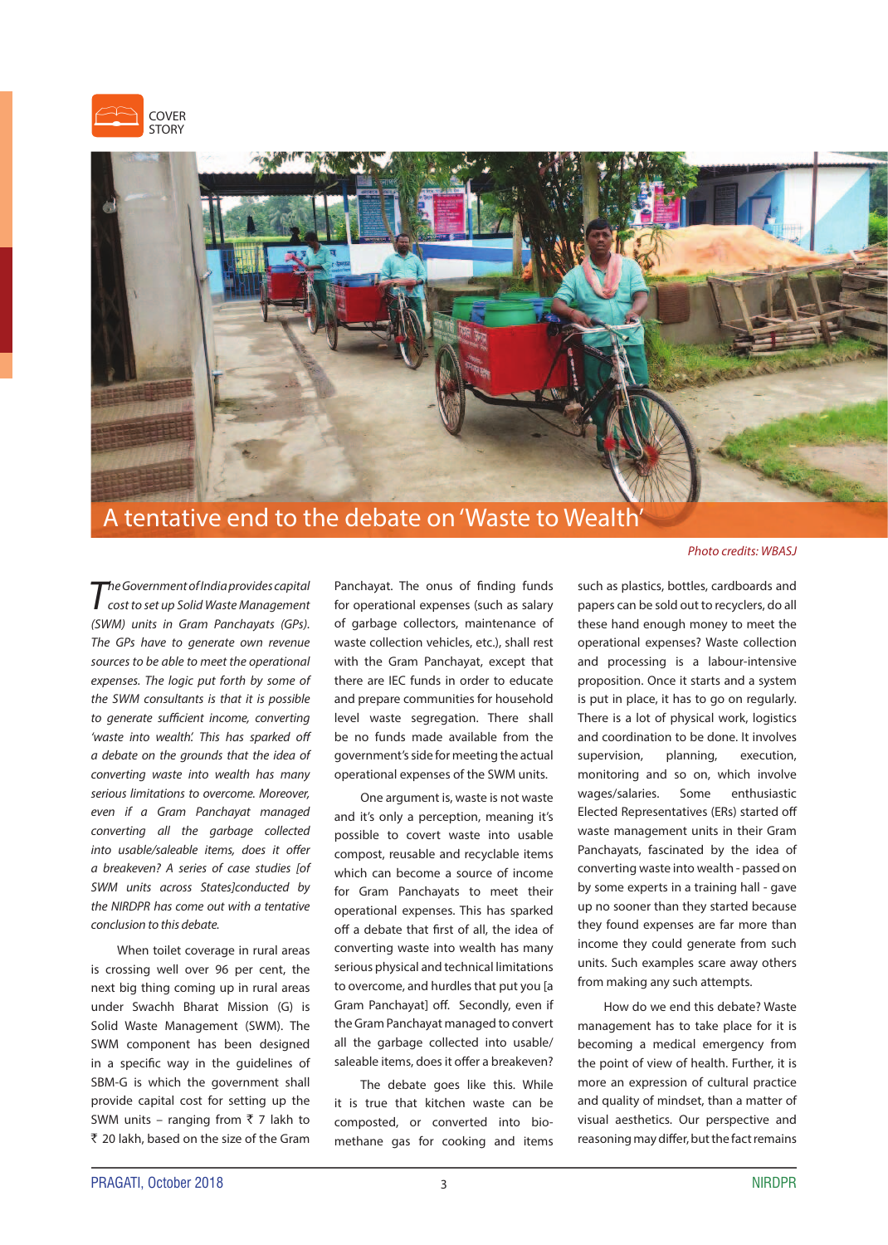



### A tentative end to the debate on 'Waste to Wealth'

The Government of India provides capital<br>cost to set up Solid Waste Management (SWM) units in Gram Panchayats (GPs). The GPs have to generate own revenue sources to be able to meet the operational expenses. The logic put forth by some of the SWM consultants is that it is possible to generate sufficient income, converting 'waste into wealth'. This has sparked off a debate on the grounds that the idea of converting waste into wealth has many serious limitations to overcome. Moreover, even if a Gram Panchayat managed converting all the garbage collected into usable/saleable items, does it offer a breakeven? A series of case studies [of SWM units across States]conducted by the NIRDPR has come out with a tentative conclusion to this debate.

When toilet coverage in rural areas is crossing well over 96 per cent, the next big thing coming up in rural areas under Swachh Bharat Mission (G) is Solid Waste Management (SWM). The SWM component has been designed in a specific way in the guidelines of SBM-G is which the government shall provide capital cost for setting up the SWM units – ranging from  $\overline{5}$  7 lakh to ` 20 lakh, based on the size of the Gram Panchayat. The onus of finding funds for operational expenses (such as salary of garbage collectors, maintenance of waste collection vehicles, etc.), shall rest with the Gram Panchayat, except that there are IEC funds in order to educate and prepare communities for household level waste segregation. There shall be no funds made available from the government's side for meeting the actual operational expenses of the SWM units.

One argument is, waste is not waste and it's only a perception, meaning it's possible to covert waste into usable compost, reusable and recyclable items which can become a source of income for Gram Panchayats to meet their operational expenses. This has sparked off a debate that first of all, the idea of converting waste into wealth has many serious physical and technical limitations to overcome, and hurdles that put you [a Gram Panchayat] off. Secondly, even if the Gram Panchayat managed to convert all the garbage collected into usable/ saleable items, does it offer a breakeven?

The debate goes like this. While it is true that kitchen waste can be composted, or converted into biomethane gas for cooking and items Photo credits: WBASJ

such as plastics, bottles, cardboards and papers can be sold out to recyclers, do all these hand enough money to meet the operational expenses? Waste collection and processing is a labour-intensive proposition. Once it starts and a system is put in place, it has to go on regularly. There is a lot of physical work, logistics and coordination to be done. It involves supervision, planning, execution, monitoring and so on, which involve wages/salaries. Some enthusiastic Elected Representatives (ERs) started off waste management units in their Gram Panchayats, fascinated by the idea of converting waste into wealth - passed on by some experts in a training hall - gave up no sooner than they started because they found expenses are far more than income they could generate from such units. Such examples scare away others from making any such attempts.

How do we end this debate? Waste management has to take place for it is becoming a medical emergency from the point of view of health. Further, it is more an expression of cultural practice and quality of mindset, than a matter of visual aesthetics. Our perspective and reasoning may differ, but the fact remains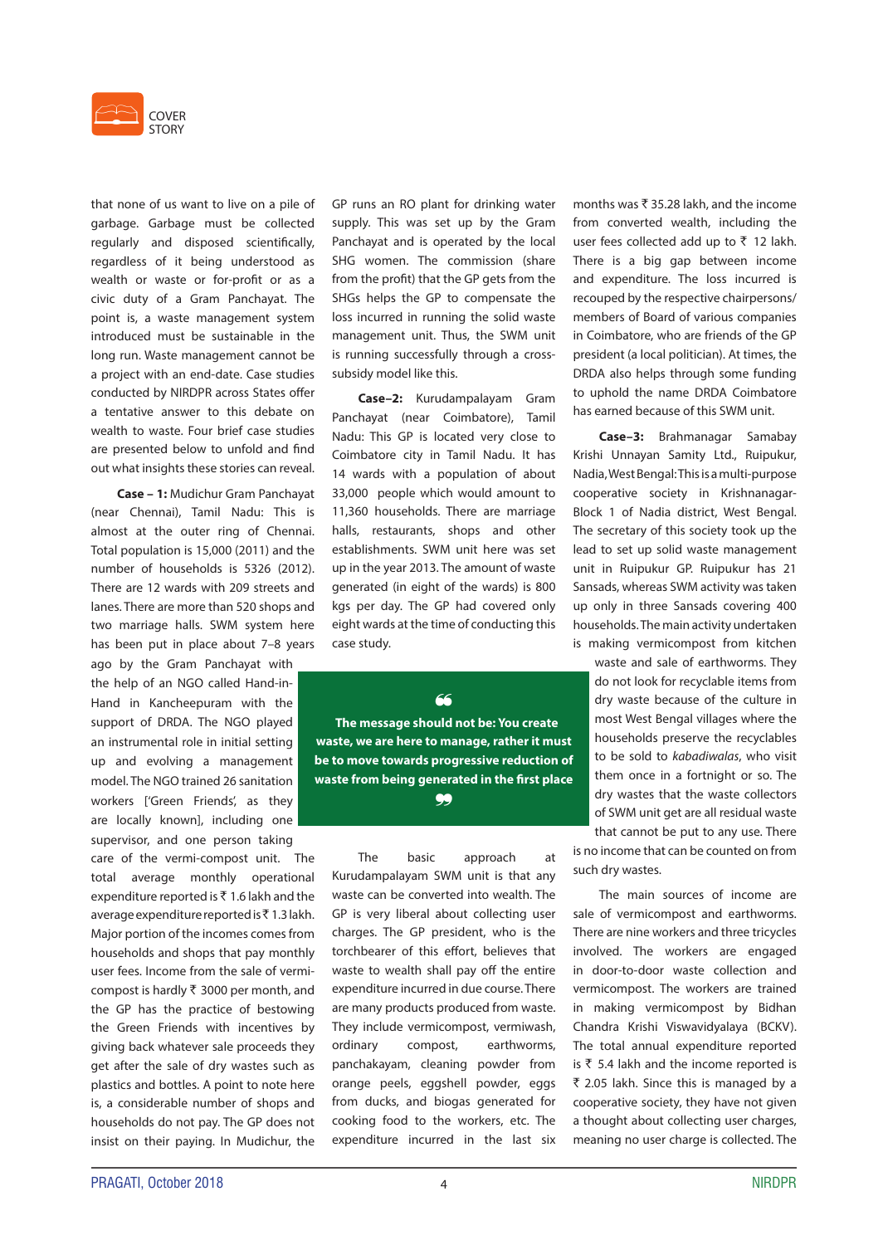

that none of us want to live on a pile of garbage. Garbage must be collected regularly and disposed scientifically, regardless of it being understood as wealth or waste or for-profit or as a civic duty of a Gram Panchayat. The point is, a waste management system introduced must be sustainable in the long run. Waste management cannot be a project with an end-date. Case studies conducted by NIRDPR across States offer a tentative answer to this debate on wealth to waste. Four brief case studies are presented below to unfold and find out what insights these stories can reveal.

**Case – 1:** Mudichur Gram Panchayat (near Chennai), Tamil Nadu: This is almost at the outer ring of Chennai. Total population is 15,000 (2011) and the number of households is 5326 (2012). There are 12 wards with 209 streets and lanes. There are more than 520 shops and two marriage halls. SWM system here has been put in place about 7–8 years

ago by the Gram Panchayat with the help of an NGO called Hand-in-Hand in Kancheepuram with the support of DRDA. The NGO played an instrumental role in initial setting up and evolving a management model. The NGO trained 26 sanitation workers ['Green Friends', as they are locally known], including one supervisor, and one person taking

care of the vermi-compost unit. The total average monthly operational expenditure reported is  $\bar{\tau}$  1.6 lakh and the average expenditure reported is  $\bar{\tau}$  1.3 lakh. Major portion of the incomes comes from households and shops that pay monthly user fees. Income from the sale of vermicompost is hardly  $\bar{\tau}$  3000 per month, and the GP has the practice of bestowing the Green Friends with incentives by giving back whatever sale proceeds they get after the sale of dry wastes such as plastics and bottles. A point to note here is, a considerable number of shops and households do not pay. The GP does not insist on their paying. In Mudichur, the GP runs an RO plant for drinking water supply. This was set up by the Gram Panchayat and is operated by the local SHG women. The commission (share from the profit) that the GP gets from the SHGs helps the GP to compensate the loss incurred in running the solid waste management unit. Thus, the SWM unit is running successfully through a crosssubsidy model like this.

**Case–2:** Kurudampalayam Gram Panchayat (near Coimbatore), Tamil Nadu: This GP is located very close to Coimbatore city in Tamil Nadu. It has 14 wards with a population of about 33,000 people which would amount to 11,360 households. There are marriage halls, restaurants, shops and other establishments. SWM unit here was set up in the year 2013. The amount of waste generated (in eight of the wards) is 800 kgs per day. The GP had covered only eight wards at the time of conducting this case study.

 **The message should not be: You create waste, we are here to manage, rather it must be to move towards progressive reduction of waste from being generated in the first place** a

`

The basic approach at Kurudampalayam SWM unit is that any waste can be converted into wealth. The GP is very liberal about collecting user charges. The GP president, who is the torchbearer of this effort, believes that waste to wealth shall pay off the entire expenditure incurred in due course. There are many products produced from waste. They include vermicompost, vermiwash, ordinary compost, earthworms, panchakayam, cleaning powder from orange peels, eggshell powder, eggs from ducks, and biogas generated for cooking food to the workers, etc. The expenditure incurred in the last six months was  $\bar{x}$  35.28 lakh, and the income from converted wealth, including the user fees collected add up to  $\bar{z}$  12 lakh. There is a big gap between income and expenditure. The loss incurred is recouped by the respective chairpersons/ members of Board of various companies in Coimbatore, who are friends of the GP president (a local politician). At times, the DRDA also helps through some funding to uphold the name DRDA Coimbatore has earned because of this SWM unit.

**Case–3:** Brahmanagar Samabay Krishi Unnayan Samity Ltd., Ruipukur, Nadia, West Bengal: This is a multi-purpose cooperative society in Krishnanagar-Block 1 of Nadia district, West Bengal. The secretary of this society took up the lead to set up solid waste management unit in Ruipukur GP. Ruipukur has 21 Sansads, whereas SWM activity was taken up only in three Sansads covering 400 households. The main activity undertaken is making vermicompost from kitchen

waste and sale of earthworms. They do not look for recyclable items from dry waste because of the culture in most West Bengal villages where the households preserve the recyclables to be sold to kabadiwalas, who visit them once in a fortnight or so. The dry wastes that the waste collectors of SWM unit get are all residual waste

that cannot be put to any use. There is no income that can be counted on from such dry wastes.

The main sources of income are sale of vermicompost and earthworms. There are nine workers and three tricycles involved. The workers are engaged in door-to-door waste collection and vermicompost. The workers are trained in making vermicompost by Bidhan Chandra Krishi Viswavidyalaya (BCKV). The total annual expenditure reported is  $\bar{\tau}$  5.4 lakh and the income reported is  $\bar{\tau}$  2.05 lakh. Since this is managed by a cooperative society, they have not given a thought about collecting user charges, meaning no user charge is collected. The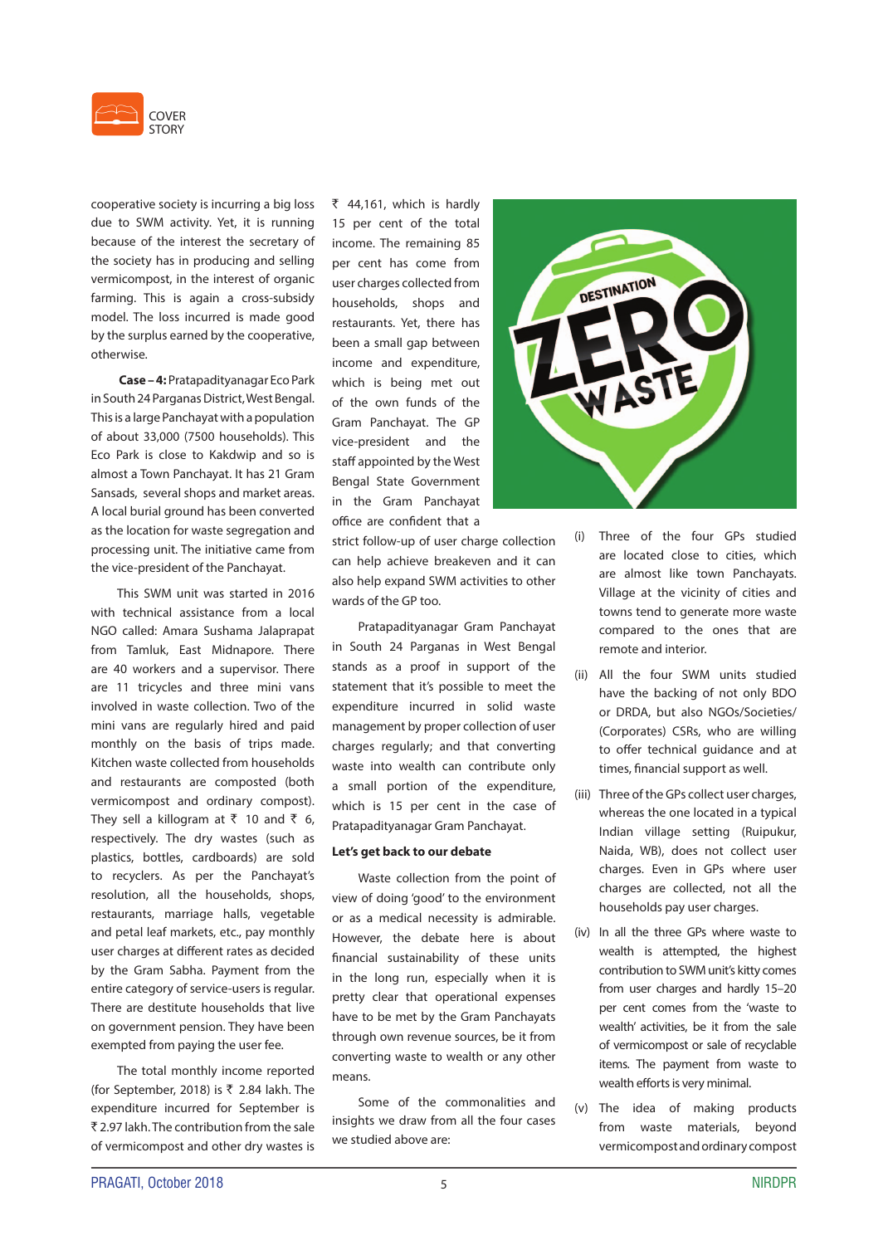

cooperative society is incurring a big loss due to SWM activity. Yet, it is running because of the interest the secretary of the society has in producing and selling vermicompost, in the interest of organic farming. This is again a cross-subsidy model. The loss incurred is made good by the surplus earned by the cooperative, otherwise.

**Case – 4:** Pratapadityanagar Eco Park in South 24 Parganas District, West Bengal. This is a large Panchayat with a population of about 33,000 (7500 households). This Eco Park is close to Kakdwip and so is almost a Town Panchayat. It has 21 Gram Sansads, several shops and market areas. A local burial ground has been converted as the location for waste segregation and processing unit. The initiative came from the vice-president of the Panchayat.

This SWM unit was started in 2016 with technical assistance from a local NGO called: Amara Sushama Jalaprapat from Tamluk, East Midnapore. There are 40 workers and a supervisor. There are 11 tricycles and three mini vans involved in waste collection. Two of the mini vans are regularly hired and paid monthly on the basis of trips made. Kitchen waste collected from households and restaurants are composted (both vermicompost and ordinary compost). They sell a killogram at  $\bar{t}$  10 and  $\bar{t}$  6, respectively. The dry wastes (such as plastics, bottles, cardboards) are sold to recyclers. As per the Panchayat's resolution, all the households, shops, restaurants, marriage halls, vegetable and petal leaf markets, etc., pay monthly user charges at different rates as decided by the Gram Sabha. Payment from the entire category of service-users is regular. There are destitute households that live on government pension. They have been exempted from paying the user fee.

The total monthly income reported (for September, 2018) is  $\bar{\tau}$  2.84 lakh. The expenditure incurred for September is ` 2.97 lakh. The contribution from the sale of vermicompost and other dry wastes is ₹ 44,161, which is hardly 15 per cent of the total income. The remaining 85 per cent has come from user charges collected from households, shops and restaurants. Yet, there has been a small gap between income and expenditure, which is being met out of the own funds of the Gram Panchayat. The GP vice-president and the staff appointed by the West Bengal State Government in the Gram Panchayat office are confident that a

strict follow-up of user charge collection can help achieve breakeven and it can also help expand SWM activities to other wards of the GP too.

Pratapadityanagar Gram Panchayat in South 24 Parganas in West Bengal stands as a proof in support of the statement that it's possible to meet the expenditure incurred in solid waste management by proper collection of user charges regularly; and that converting waste into wealth can contribute only a small portion of the expenditure, which is 15 per cent in the case of Pratapadityanagar Gram Panchayat.

#### **Let's get back to our debate**

Waste collection from the point of view of doing 'good' to the environment or as a medical necessity is admirable. However, the debate here is about financial sustainability of these units in the long run, especially when it is pretty clear that operational expenses have to be met by the Gram Panchayats through own revenue sources, be it from converting waste to wealth or any other means.

Some of the commonalities and insights we draw from all the four cases we studied above are:



- (i) Three of the four GPs studied are located close to cities, which are almost like town Panchayats. Village at the vicinity of cities and towns tend to generate more waste compared to the ones that are remote and interior.
- (ii) All the four SWM units studied have the backing of not only BDO or DRDA, but also NGOs/Societies/ (Corporates) CSRs, who are willing to offer technical guidance and at times, financial support as well.
- (iii) Three of the GPs collect user charges, whereas the one located in a typical Indian village setting (Ruipukur, Naida, WB), does not collect user charges. Even in GPs where user charges are collected, not all the households pay user charges.
- (iv) In all the three GPs where waste to wealth is attempted, the highest contribution to SWM unit's kitty comes from user charges and hardly 15–20 per cent comes from the 'waste to wealth' activities, be it from the sale of vermicompost or sale of recyclable items. The payment from waste to wealth efforts is very minimal.
- (v) The idea of making products from waste materials, beyond vermicompost and ordinary compost